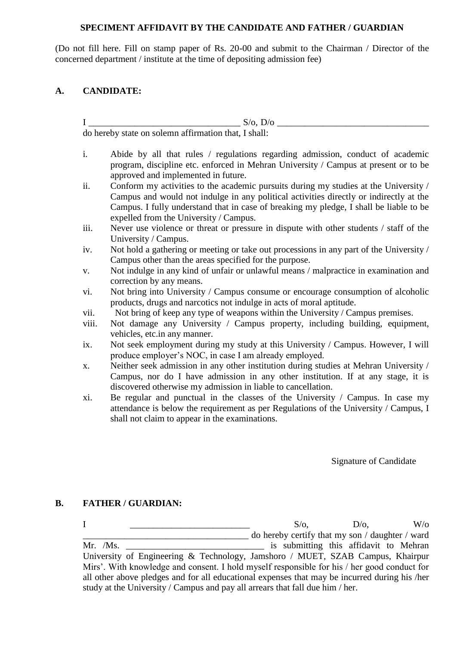## **SPECIMENT AFFIDAVIT BY THE CANDIDATE AND FATHER / GUARDIAN**

(Do not fill here. Fill on stamp paper of Rs. 20-00 and submit to the Chairman / Director of the concerned department / institute at the time of depositing admission fee)

## **A. CANDIDATE:**

I \_\_\_\_\_\_\_\_\_\_\_\_\_\_\_\_\_\_\_\_\_\_\_\_\_\_\_\_\_\_\_\_\_ S/o, D/o \_\_\_\_\_\_\_\_\_\_\_\_\_\_\_\_\_\_\_\_\_\_\_\_\_\_\_\_\_\_\_\_\_ do hereby state on solemn affirmation that, I shall:

- i. Abide by all that rules / regulations regarding admission, conduct of academic program, discipline etc. enforced in Mehran University / Campus at present or to be approved and implemented in future.
- ii. Conform my activities to the academic pursuits during my studies at the University / Campus and would not indulge in any political activities directly or indirectly at the Campus. I fully understand that in case of breaking my pledge, I shall be liable to be expelled from the University / Campus.
- iii. Never use violence or threat or pressure in dispute with other students / staff of the University / Campus.
- iv. Not hold a gathering or meeting or take out processions in any part of the University / Campus other than the areas specified for the purpose.
- v. Not indulge in any kind of unfair or unlawful means / malpractice in examination and correction by any means.
- vi. Not bring into University / Campus consume or encourage consumption of alcoholic products, drugs and narcotics not indulge in acts of moral aptitude.
- vii. Not bring of keep any type of weapons within the University / Campus premises.
- viii. Not damage any University / Campus property, including building, equipment, vehicles, etc.in any manner.
- ix. Not seek employment during my study at this University / Campus. However, I will produce employer's NOC, in case I am already employed.
- x. Neither seek admission in any other institution during studies at Mehran University / Campus, nor do I have admission in any other institution. If at any stage, it is discovered otherwise my admission in liable to cancellation.
- xi. Be regular and punctual in the classes of the University / Campus. In case my attendance is below the requirement as per Regulations of the University / Campus, I shall not claim to appear in the examinations.

Signature of Candidate

## **B. FATHER / GUARDIAN:**

 $I \qquad \qquad \qquad S/O, \qquad \qquad D/O, \qquad \qquad W/O$ \_\_\_\_\_\_\_\_\_\_\_\_\_\_\_\_\_\_\_\_\_\_\_\_\_\_\_\_\_\_\_\_\_\_\_\_ do hereby certify that my son / daughter / ward Mr. /Ms. \_\_\_\_\_\_\_\_\_\_\_\_\_\_\_\_\_\_\_\_\_\_\_\_\_\_\_\_\_\_ is submitting this affidavit to Mehran University of Engineering & Technology, Jamshoro / MUET, SZAB Campus, Khairpur Mirs'. With knowledge and consent. I hold myself responsible for his / her good conduct for all other above pledges and for all educational expenses that may be incurred during his /her study at the University / Campus and pay all arrears that fall due him / her.